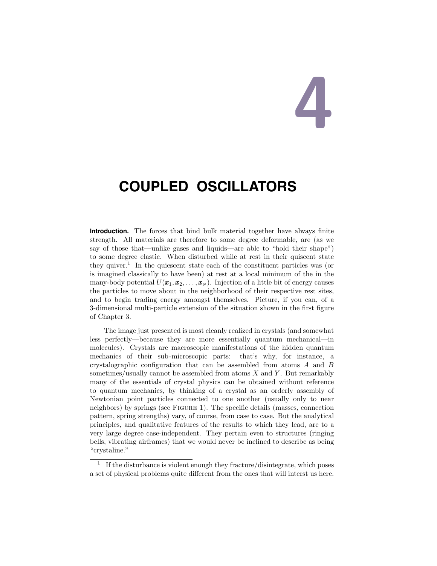# 4

## **COUPLED OSCILLATORS**

**Introduction.** The forces that bind bulk material together have always finite strength. All materials are therefore to some degree deformable, are (as we say of those that—unlike gases and liquids—are able to "hold their shape") to some degree elastic. When disturbed while at rest in their quiscent state they quiver.<sup>1</sup> In the quiescent state each of the constituent particles was (or is imagined classically to have been) at rest at a local minimum of the in the many-body potential  $U(\pmb{x}_1,\pmb{x}_2,\ldots,\pmb{x}_N)$ . Injection of a little bit of energy causes the particles to move about in the neighborhood of their respective rest sites, and to begin trading energy amongst themselves. Picture, if you can, of a 3-dimensional multi-particle extension of the situation shown in the first figure of Chapter 3.

The image just presented is most cleanly realized in crystals (and somewhat less perfectly—because they are more essentially quantum mechanical—in molecules). Crystals are macroscopic manifestations of the hidden quantum mechanics of their sub-microscopic parts: that's why, for instance, a crystalographic configuration that can be assembled from atoms A and B sometimes/usually cannot be assembled from atoms  $X$  and  $Y$ . But remarkably many of the essentials of crystal physics can be obtained without reference to quantum mechanics, by thinking of a crystal as an orderly assembly of Newtonian point particles connected to one another (usually only to near neighbors) by springs (see Figure 1). The specific details (masses, connection pattern, spring strengths) vary, of course, from case to case. But the analytical principles, and qualitative features of the results to which they lead, are to a very large degree case-independent. They pertain even to structures (ringing bells, vibrating airframes) that we would never be inclined to describe as being "crystaline."

<sup>1</sup> If the disturbance is violent enough they fracture/disintegrate, which poses a set of physical problems quite different from the ones that will interst us here.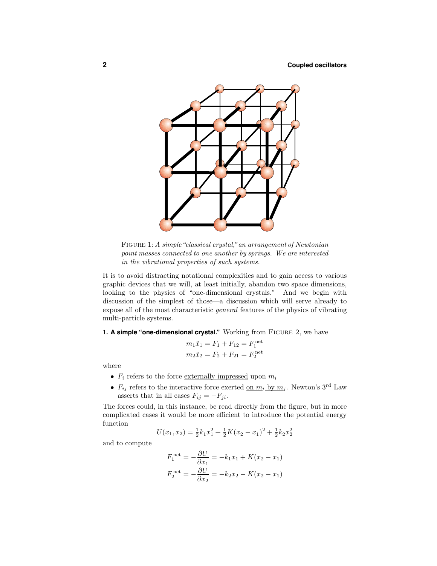

FIGURE 1: A simple "classical crystal," an arrangement of Newtonian point masses connected to one another by springs. We are interested in the vibrational properties of such systems.

It is to avoid distracting notational complexities and to gain access to various graphic devices that we will, at least initially, abandon two space dimensions, looking to the physics of "one-dimensional crystals." And we begin with discussion of the simplest of those—a discussion which will serve already to expose all of the most characteristic general features of the physics of vibrating multi-particle systems.

**1. A simple "one-dimensional crystal."** Working from Figure 2, we have

$$
m_1\ddot{x}_1 = F_1 + F_{12} = F_1^{\text{net}}
$$

$$
m_2\ddot{x}_2 = F_2 + F_{21} = F_2^{\text{net}}
$$

where

- $F_i$  refers to the force <u>externally impressed</u> upon  $m_i$
- $F_{ij}$  refers to the interactive force exerted <u>on  $m_i$  by  $m_j$ </u>. Newton's 3<sup>rd</sup> Law asserts that in all cases  $F_{ij} = -F_{ji}$ .

The forces could, in this instance, be read directly from the figure, but in more complicated cases it would be more efficient to introduce the potential energy function

$$
U(x_1, x_2) = \frac{1}{2}k_1x_1^2 + \frac{1}{2}K(x_2 - x_1)^2 + \frac{1}{2}k_2x_2^2
$$

and to compute

$$
F_1^{\text{net}} = -\frac{\partial U}{\partial x_1} = -k_1 x_1 + K(x_2 - x_1)
$$

$$
F_2^{\text{net}} = -\frac{\partial U}{\partial x_2} = -k_2 x_2 - K(x_2 - x_1)
$$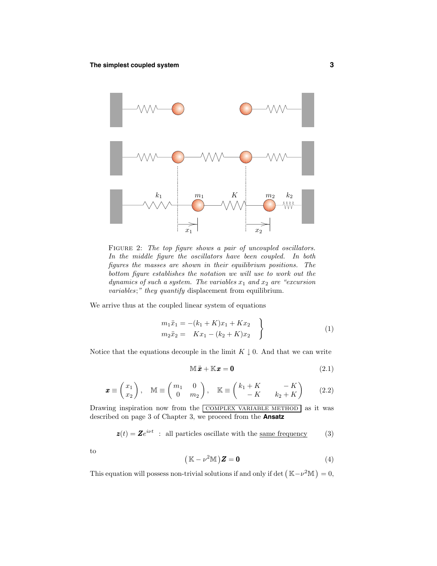

FIGURE 2: The top figure shows a pair of uncoupled oscillators. In the middle figure the oscillators have been coupled. In both figures the masses are shown in their equilibrium positions. The bottom figure establishes the notation we will use to work out the dynamics of such a system. The variables  $x_1$  and  $x_2$  are "excursion variables;" they quantify displacement from equilibrium.

We arrive thus at the coupled linear system of equations

$$
m_1\ddot{x}_1 = -(k_1 + K)x_1 + Kx_2 \nm_2\ddot{x}_2 = Kx_1 - (k_2 + K)x_2
$$
\n(1)

Notice that the equations decouple in the limit  $K \downarrow 0$ . And that we can write

$$
\mathbb{M}\ddot{x} + \mathbb{K}x = \mathbf{0} \tag{2.1}
$$

$$
\boldsymbol{x} \equiv \begin{pmatrix} x_1 \\ x_2 \end{pmatrix}, \quad \mathbb{M} \equiv \begin{pmatrix} m_1 & 0 \\ 0 & m_2 \end{pmatrix}, \quad \mathbb{K} \equiv \begin{pmatrix} k_1 + K & -K \\ -K & k_2 + K \end{pmatrix} \tag{2.2}
$$

Drawing inspiration now from the COMPLEX VARIABLE METHOD as it was described on page 3 of Chapter 3, we proceed from the **Ansatz**

$$
\mathbf{z}(t) = \mathbf{Z}e^{i\nu t} \quad \text{: all particles oscillate with the same frequency} \tag{3}
$$

to

$$
(\mathbb{K} - \nu^2 \mathbb{M}) \mathbf{Z} = \mathbf{0}
$$
 (4)

This equation will possess non-trivial solutions if and only if det  $(K - \nu^2 M) = 0$ ,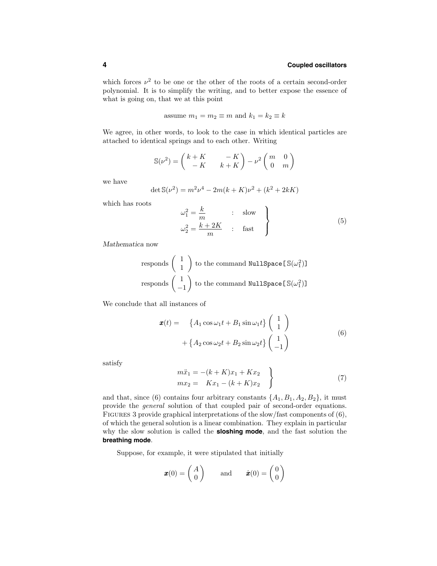which forces  $\nu^2$  to be one or the other of the roots of a certain second-order polynomial. It is to simplify the writing, and to better expose the essence of what is going on, that we at this point

assume 
$$
m_1 = m_2 \equiv m
$$
 and  $k_1 = k_2 \equiv k$ 

We agree, in other words, to look to the case in which identical particles are attached to identical springs and to each other. Writing

$$
\mathbb{S}(\nu^2) = \begin{pmatrix} k+K & -K \\ -K & k+K \end{pmatrix} - \nu^2 \begin{pmatrix} m & 0 \\ 0 & m \end{pmatrix}
$$

we have

$$
\det S(\nu^2) = m^2 \nu^4 - 2m(k+K)\nu^2 + (k^2 + 2kK)
$$

which has roots

$$
\begin{aligned}\n\omega_1^2 &= \frac{k}{m} & \text{is low} \\
\omega_2^2 &= \frac{k+2K}{m} & \text{is fast}\n\end{aligned}
$$
\n(5)

Mathematica now

$$
\text{responds} \left( \begin{array}{c} 1 \\ 1 \end{array} \right) \text{ to the command NullSpace} [\mathbb{S}(\omega_1^2)]
$$
\n
$$
\text{responds} \left( \begin{array}{c} 1 \\ -1 \end{array} \right) \text{ to the command NullSpace} [\mathbb{S}(\omega_1^2)]
$$

We conclude that all instances of

$$
\mathbf{x}(t) = \left\{ A_1 \cos \omega_1 t + B_1 \sin \omega_1 t \right\} \begin{pmatrix} 1 \\ 1 \end{pmatrix} + \left\{ A_2 \cos \omega_2 t + B_2 \sin \omega_2 t \right\} \begin{pmatrix} 1 \\ -1 \end{pmatrix}
$$
\n(6)

satisfy

$$
m\ddot{x}_1 = -(k + K)x_1 + Kx_2 \nmx_2 = Kx_1 - (k + K)x_2
$$
\n(7)

and that, since (6) contains four arbitrary constants  $\{A_1, B_1, A_2, B_2\}$ , it must provide the general solution of that coupled pair of second-order equations. Figures 3 provide graphical interpretations of the slow/fast components of (6), of which the general solution is a linear combination. They explain in particular why the slow solution is called the **sloshing mode**, and the fast solution the **breathing mode**.

Suppose, for example, it were stipulated that initially

$$
\boldsymbol{x}(0) = \begin{pmatrix} A \\ 0 \end{pmatrix} \quad \text{and} \quad \dot{\boldsymbol{x}}(0) = \begin{pmatrix} 0 \\ 0 \end{pmatrix}
$$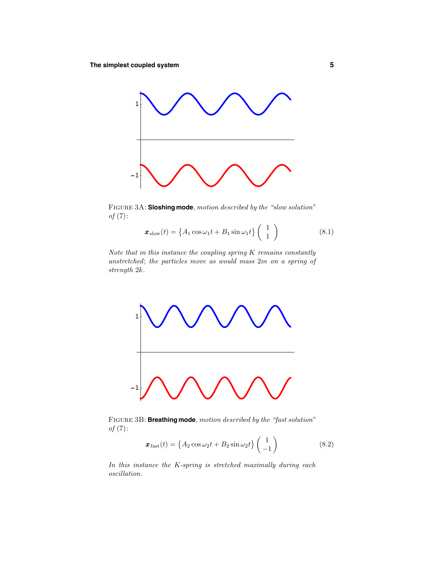

Figure 3A: **Sloshing mode**, motion described by the "slow solution"  $of (7)$ :

$$
\boldsymbol{x}_{\text{slow}}(t) = \left\{ A_1 \cos \omega_1 t + B_1 \sin \omega_1 t \right\} \begin{pmatrix} 1 \\ 1 \end{pmatrix} \tag{8.1}
$$

Note that in this instance the coupling spring K remains constantly unstretched; the particles move as would mass 2m on a spring of strength 2k.



Figure 3B: **Breathing mode**, motion described by the "fast solution"  $of (7):$ 

$$
\boldsymbol{x}_{\text{fast}}(t) = \left\{ A_2 \cos \omega_2 t + B_2 \sin \omega_2 t \right\} \begin{pmatrix} 1 \\ -1 \end{pmatrix} \tag{8.2}
$$

In this instance the K-spring is stretched maximally during each oscillation.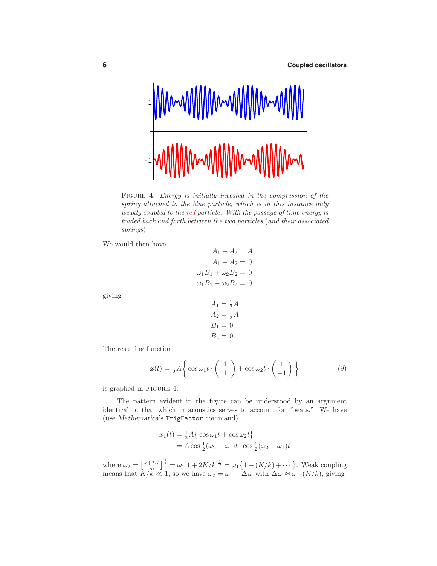

FIGURE 4: *Energy is initially invested in the compression of the* spring attached to the blue particle, which is in this instance only weakly coupled to the red particle. With the passage of time energy is traded back and forth between the two particles (and their associated springs).

We would then have

$$
A_1 + A_2 = A
$$
  

$$
A_1 - A_2 = 0
$$
  

$$
\omega_1 B_1 + \omega_2 B_2 = 0
$$
  

$$
\omega_1 B_1 - \omega_2 B_2 = 0
$$

giving

$$
A_1 = \frac{1}{2}A
$$
  
\n
$$
A_2 = \frac{1}{2}A
$$
  
\n
$$
B_1 = 0
$$
  
\n
$$
B_2 = 0
$$

The resulting function

$$
\boldsymbol{x}(t) = \frac{1}{2}A \left\{ \cos \omega_1 t \cdot \begin{pmatrix} 1 \\ 1 \end{pmatrix} + \cos \omega_2 t \cdot \begin{pmatrix} 1 \\ -1 \end{pmatrix} \right\} \tag{9}
$$

is graphed in Figure 4.

The pattern evident in the figure can be understood by an argument identical to that which in acoustics serves to account for "beats." We have (use *Mathematica*'s TrigFactor command)

$$
x_1(t) = \frac{1}{2}A\{\cos\omega_1 t + \cos\omega_2 t\}
$$
  
=  $A\cos\frac{1}{2}(\omega_2 - \omega_1)t \cdot \cos\frac{1}{2}(\omega_2 + \omega_1)t$ 

where  $\omega_2 = \left[\frac{k+2K}{m}\right]^{\frac{1}{2}} = \omega_1[1+2K/k]^{\frac{1}{2}} = \omega_1\{1+(K/k)+\cdots\}$ . Weak coupling means that  $K/k \ll 1$ , so we have  $\omega_2 = \omega_1 + \Delta \omega$  with  $\Delta \omega \approx \omega_1 \cdot (K/k)$ , giving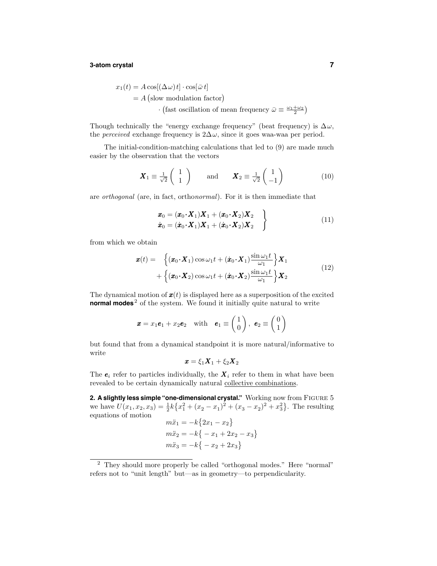#### **3-atom crystal 7**

$$
x_1(t) = A \cos[(\Delta \omega)t] \cdot \cos[\bar{\omega} t]
$$
  
= A (slow modulation factor)  

$$
\cdot \text{ (fast oscillation of mean frequency } \bar{\omega} \equiv \frac{\omega_1 + \omega_2}{2})
$$

Though technically the "energy exchange frequency" (beat frequency) is  $\Delta \omega$ , the *perceived* exchange frequency is  $2\Delta\omega$ , since it goes waa-waa per period.

The initial-condition-matching calculations that led to (9) are made much easier by the observation that the vectors

$$
\boldsymbol{X}_1 \equiv \frac{1}{\sqrt{2}} \begin{pmatrix} 1 \\ 1 \end{pmatrix} \quad \text{and} \quad \boldsymbol{X}_2 \equiv \frac{1}{\sqrt{2}} \begin{pmatrix} 1 \\ -1 \end{pmatrix} \tag{10}
$$

are orthogonal (are, in fact, orthonormal). For it is then immediate that

$$
\begin{aligned}\n\boldsymbol{x}_0 &= (\boldsymbol{x}_0 \cdot \boldsymbol{X}_1) \boldsymbol{X}_1 + (\boldsymbol{x}_0 \cdot \boldsymbol{X}_2) \boldsymbol{X}_2 \\
\dot{\boldsymbol{x}}_0 &= (\dot{\boldsymbol{x}}_0 \cdot \boldsymbol{X}_1) \boldsymbol{X}_1 + (\dot{\boldsymbol{x}}_0 \cdot \boldsymbol{X}_2) \boldsymbol{X}_2\n\end{aligned}\n\tag{11}
$$

from which we obtain

$$
\boldsymbol{x}(t) = \begin{cases} (\boldsymbol{x}_0 \cdot \boldsymbol{X}_1) \cos \omega_1 t + (\dot{\boldsymbol{x}}_0 \cdot \boldsymbol{X}_1) \frac{\sin \omega_1 t}{\omega_1} \end{cases} \mathbf{X}_1 + \left\{ (\boldsymbol{x}_0 \cdot \boldsymbol{X}_2) \cos \omega_1 t + (\dot{\boldsymbol{x}}_0 \cdot \boldsymbol{X}_2) \frac{\sin \omega_1 t}{\omega_1} \right\} \mathbf{X}_2
$$
\n(12)

The dynamical motion of  $\mathbf{x}(t)$  is displayed here as a superposition of the excited **normal modes**<sup>2</sup> of the system. We found it initially quite natural to write

$$
\mathbf{x} = x_1 \mathbf{e}_1 + x_2 \mathbf{e}_2 \quad \text{with} \quad \mathbf{e}_1 \equiv \begin{pmatrix} 1 \\ 0 \end{pmatrix}, \ \mathbf{e}_2 \equiv \begin{pmatrix} 0 \\ 1 \end{pmatrix}
$$

but found that from a dynamical standpoint it is more natural/informative to write

$$
\pmb{x}=\xi_1\pmb{X}_1+\xi_2\pmb{X}_2
$$

The  $e_i$  refer to particles individually, the  $X_i$  refer to them in what have been revealed to be certain dynamically natural collective combinations.

**2. A slightly less simple "one-dimensional crystal."** Working now from Figure 5 we have  $U(x_1, x_2, x_3) = \frac{1}{2}k\{x_1^2 + (x_2 - x_1)^2 + (x_3 - x_2)^2 + x_3^2\}$ . The resulting equations of motion  $m\ddot{x}_1 = -k\{2x_1 - x_2\}$  $m\ddot{x}_2 = -k\{-x_1 + 2x_2 - x_3\}$  $m\ddot{x}_3 = -k\{-x_2 + 2x_3\}$ 

<sup>2</sup> They should more properly be called "orthogonal modes." Here "normal" refers not to "unit length" but—as in geometry—to perpendicularity.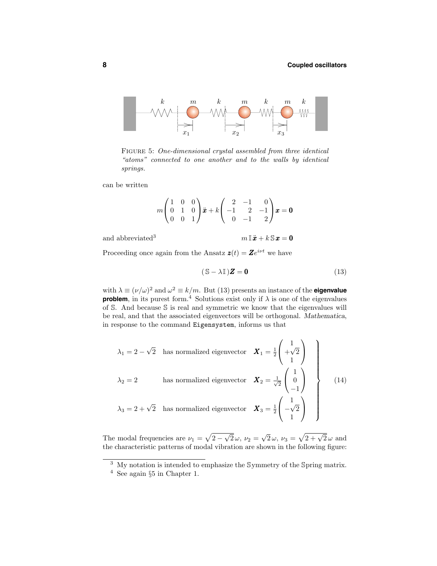

Figure 5: One-dimensional crystal assembled from three identical "atoms" connected to one another and to the walls by identical springs.

can be written

$$
m\begin{pmatrix} 1 & 0 & 0 \\ 0 & 1 & 0 \\ 0 & 0 & 1 \end{pmatrix} \ddot{x} + k \begin{pmatrix} 2 & -1 & 0 \\ -1 & 2 & -1 \\ 0 & -1 & 2 \end{pmatrix} x = \mathbf{0}
$$

and abbreviated<sup>3</sup>

$$
m\, \mathbb{I}\, \ddot{\bm{x}} + k\, \mathbb{S}\, \bm{x} = \bm{0}
$$

Proceeding once again from the Ansatz  $z(t) = Ze^{i\nu t}$  we have

$$
(\mathbb{S} - \lambda \mathbb{I})\mathbf{Z} = \mathbf{0} \tag{13}
$$

with  $\lambda \equiv (\nu/\omega)^2$  and  $\omega^2 \equiv k/m$ . But (13) presents an instance of the **eigenvalue problem**, in its purest form.<sup>4</sup> Solutions exist only if  $\lambda$  is one of the eigenvalues of S. And because S is real and symmetric we know that the eigenvalues will be real, and that the associated eigenvectors will be orthogonal. Mathematica, in response to the command Eigensystem, informs us that

$$
\lambda_1 = 2 - \sqrt{2} \text{ has normalized eigenvector } \mathbf{X}_1 = \frac{1}{2} \begin{pmatrix} 1 \\ +\sqrt{2} \\ 1 \end{pmatrix}
$$
  

$$
\lambda_2 = 2 \text{ has normalized eigenvector } \mathbf{X}_2 = \frac{1}{\sqrt{2}} \begin{pmatrix} 1 \\ 0 \\ -1 \end{pmatrix}
$$
  

$$
\lambda_3 = 2 + \sqrt{2} \text{ has normalized eigenvector } \mathbf{X}_3 = \frac{1}{2} \begin{pmatrix} 1 \\ -\sqrt{2} \\ 1 \end{pmatrix}
$$
 (14)

The modal frequencies are  $\nu_1 = \sqrt{2-\sqrt{2}}\omega$ ,  $\nu_2 = \sqrt{2}\omega$ ,  $\nu_3 = \sqrt{2+\sqrt{2}}\omega$  and the characteristic patterns of modal vibration are shown in the following figure:

<sup>&</sup>lt;sup>3</sup> My notation is intended to emphasize the Symmetry of the Spring matrix.

<sup>4</sup> See again §<sup>5</sup> in Chapter 1.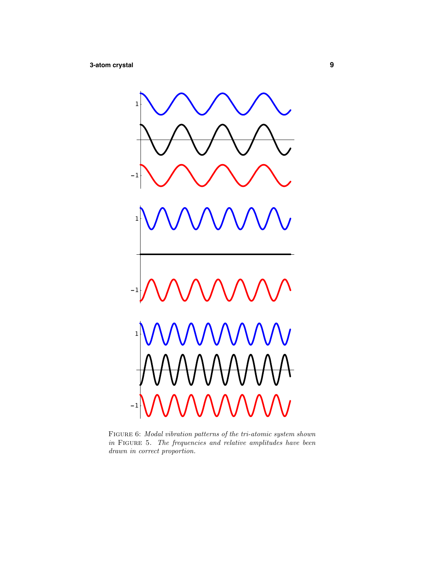

Figure 6: Modal vibration patterns of the tri-atomic system shown  $in$  FIGURE 5. The frequencies and relative amplitudes have been drawn in correct proportion.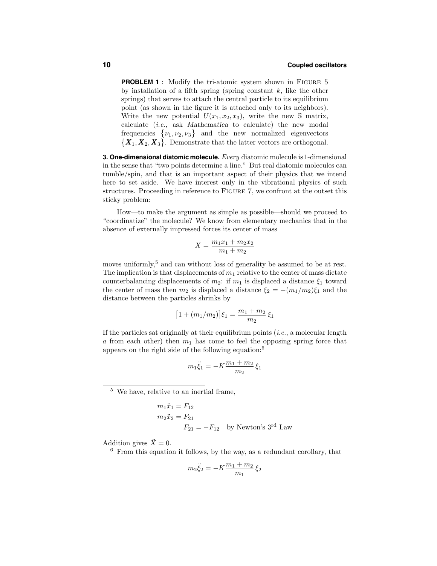**PROBLEM 1** : Modify the tri-atomic system shown in Figure 5 by installation of a fifth spring (spring constant  $k$ , like the other springs) that serves to attach the central particle to its equilibrium point (as shown in the figure it is attached only to its neighbors). Write the new potential  $U(x_1, x_2, x_3)$ , write the new S matrix, calculate (i.e., ask Mathematica to calculate) the new modal frequencies  $\{\nu_1, \nu_2, \nu_3\}$  and the new normalized eigenvectors  ${X_1, X_2, X_3}$ . Demonstrate that the latter vectors are orthogonal.

**3. One-dimensional diatomic molecule.** Every diatomic molecule is 1-dimensional in the sense that "two points determine a line." But real diatomic molecules can tumble/spin, and that is an important aspect of their physics that we intend here to set aside. We have interest only in the vibrational physics of such structures. Proceeding in reference to Figure 7, we confront at the outset this sticky problem:

How—to make the argument as simple as possible—should we proceed to "coordinatize" the molecule? We know from elementary mechanics that in the absence of externally impressed forces its center of mass

$$
X = \frac{m_1 x_1 + m_2 x_2}{m_1 + m_2}
$$

moves uniformly,<sup>5</sup> and can without loss of generality be assumed to be at rest. The implication is that displacements of  $m_1$  relative to the center of mass dictate counterbalancing displacements of  $m_2$ : if  $m_1$  is displaced a distance  $\xi_1$  toward the center of mass then  $m_2$  is displaced a distance  $\xi_2 = -(m_1/m_2)\xi_1$  and the distance between the particles shrinks by

$$
\big[1+(m_1/m_2)\big]\xi_1=\frac{m_1+m_2}{m_2}\,\xi_1
$$

If the particles sat originally at their equilibrium points  $(i.e., a molecular length)$ a from each other) then  $m_1$  has come to feel the opposing spring force that appears on the right side of the following equation:<sup>6</sup>

$$
m_1 \ddot{\xi}_1 = -K \frac{m_1 + m_2}{m_2} \xi_1
$$

<sup>5</sup> We have, relative to an inertial frame,

$$
m_1 \ddot{x}_1 = F_{12}
$$
  
\n $m_2 \ddot{x}_2 = F_{21}$   
\n $F_{21} = -F_{12}$  by Newton's 3<sup>rd</sup> Law

Addition gives  $\ddot{X} = 0$ .

 $6$  From this equation it follows, by the way, as a redundant corollary, that

$$
m_2 \ddot{\xi}_2 = -K \frac{m_1 + m_2}{m_1} \xi_2
$$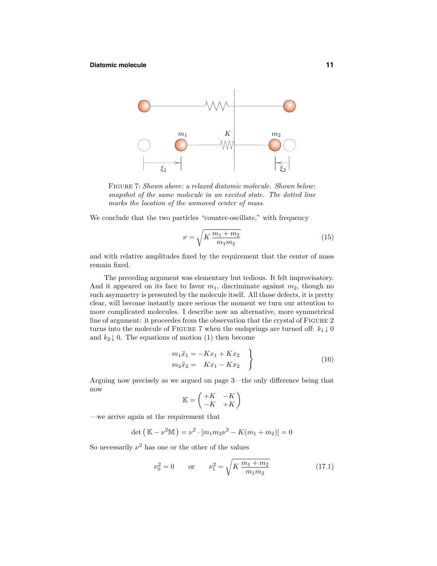#### **Diatomic molecule 11**



FIGURE 7: Shown above: a relaxed diatomic molecule. Shown below: snapshot of the same molecule in an excited state. The dotted line marks the location of the unmoved center of mass.

We conclude that the two particles "counter-oscillate," with frequency

$$
\nu = \sqrt{K \frac{m_1 + m_2}{m_1 m_2}} \tag{15}
$$

and with relative amplitudes fixed by the requirement that the center of mass remain fixed.

The preceding argument was elementary but tedious. It felt improvisatory. And it appeared on its face to favor  $m_1$ , discriminate against  $m_2$ , though no such asymmetry is presented by the molecule itself. All those defects, it is pretty clear, will become instantly more serious the moment we turn our attention to more complicated molecules. I describe now an alternative, more symmetrical line of argument: it proceedes from the observation that the crystal of FIGURE 2 turns into the molecule of FIGURE 7 when the endsprings are turned off:  $k_1 \downarrow 0$ and  $k_2 \downarrow 0$ . The equations of motion (1) then become

$$
m_1\ddot{x}_1 = -Kx_1 + Kx_2 \nm_2\ddot{x}_2 = Kx_1 - Kx_2
$$
\n(16)

Arguing now precisely as we argued on page 3—the only difference being that now

$$
\mathbb{K} = \begin{pmatrix} +K & -K \\ -K & +K \end{pmatrix}
$$

—we arrive again at the requirement that

$$
\det (\mathbb{K} - \nu^2 \mathbb{M}) = \nu^2 \cdot [m_1 m_2 \nu^2 - K(m_1 + m_2)] = 0
$$

So necessarily  $\nu^2$  has one or the other of the values

$$
\nu_0^2 = 0 \qquad \text{or} \qquad \nu_1^2 = \sqrt{K \frac{m_1 + m_2}{m_1 m_2}} \tag{17.1}
$$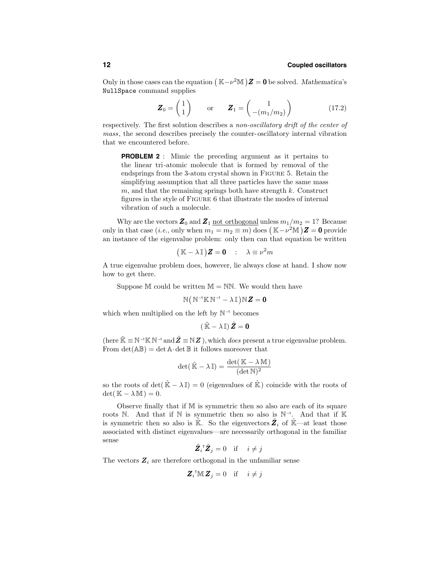Only in those cases can the equation  $(\mathbb{K}-\nu^2\mathbb{M})\mathbf{Z}=\mathbf{0}$  be solved. Mathematica's NullSpace command supplies

$$
\boldsymbol{Z}_0 = \begin{pmatrix} 1 \\ 1 \end{pmatrix} \quad \text{or} \quad \boldsymbol{Z}_1 = \begin{pmatrix} 1 \\ -(m_1/m_2) \end{pmatrix} \tag{17.2}
$$

respectively. The first solution describes a non-oscillatory drift of the center of mass, the second describes precisely the counter-oscillatory internal vibration that we encountered before.

**PROBLEM 2** : Mimic the preceding argument as it pertains to the linear tri-atomic molecule that is formed by removal of the endsprings from the 3-atom crystal shown in Figure 5. Retain the simplifying assumption that all three particles have the same mass  $m$ , and that the remaining springs both have strength  $k$ . Construct figures in the style of Figure 6 that illustrate the modes of internal vibration of such a molecule.

Why are the vectors  $\mathbf{Z}_0$  and  $\mathbf{Z}_1$  not orthogonal unless  $m_1/m_2 = 1$ ? Because only in that case (*i.e.*, only when  $m_1 = m_2 \equiv m$ ) does  $(\mathbb{K} - \nu^2 \mathbb{M})\mathbb{Z} = \mathbb{0}$  provide an instance of the eigenvalue problem: only then can that equation be written

$$
(\mathbb{K} - \lambda \mathbb{I})\mathbf{Z} = \mathbf{0} \quad : \quad \lambda \equiv \nu^2 m
$$

A true eigenvalue problem does, however, lie always close at hand. I show now how to get there.

Suppose M could be written  $M = NN$ . We would then have

$$
\mathbb{N}\big(\,\mathbb{N}^{\,\text{-}1}\mathbb{K}\,\mathbb{N}^{\,\text{-}1}-\lambda\,\mathbb{I}\,\big)\mathbb{N}\,\pmb{Z}=\pmb{0}
$$

which when multiplied on the left by  $\mathbb{N}^{\text{-}1}$  becomes

$$
\left(\,\tilde{\mathbb{K}}-\lambda\,\mathbb{I}\right)\tilde{Z}=0
$$

(here  $\tilde{\mathbb{K}} \equiv \mathbb{N}^{-1} \mathbb{K} \mathbb{N}^{-1}$  and  $\tilde{\mathbf{Z}} \equiv \mathbb{N} \mathbf{Z}$ ), which *does* present a true eigenvalue problem. From  $\det(A\mathbb{B}) = \det A \cdot \det B$  it follows moreover that

$$
\det(\tilde{\mathbb{K}} - \lambda \mathbb{I}) = \frac{\det(\mathbb{K} - \lambda \mathbb{M})}{(\det \mathbb{N})^2}
$$

so the roots of det( $\tilde{\mathbb{K}} - \lambda \mathbb{I}$ ) = 0 (eigenvalues of  $\tilde{\mathbb{K}}$ ) coincide with the roots of  $\det(\mathbb{K} - \lambda \mathbb{M}) = 0.$ 

Observe finally that if M is symmetric then so also are each of its square roots N. And that if N is symmetric then so also is  $\mathbb{N}^{-1}$ . And that if K is symmetric then so also is  $\tilde{\mathbb{K}}$ . So the eigenvectors  $\tilde{Z}_i$  of  $\tilde{\mathbb{K}}$ —at least those associated with distinct eigenvalues—are necessarily orthogonal in the familiar sense

$$
\tilde{\mathbf{Z}}_i^{\mathsf{T}} \tilde{\mathbf{Z}}_j = 0 \quad \text{if} \quad i \neq j
$$

The vectors  $\mathbf{Z}_i$  are therefore orthogonal in the unfamiliar sense

$$
\mathbf{Z}_i^{\mathsf{T}} \mathbb{M} \mathbf{Z}_j = 0 \quad \text{if} \quad i \neq j
$$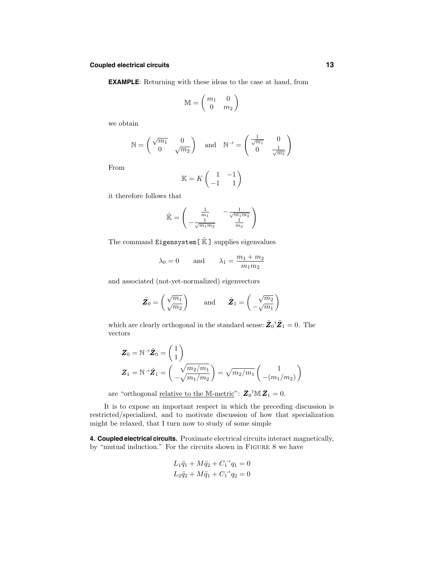#### **Coupled electrical circuits 13**

**EXAMPLE**: Returning with these ideas to the case at hand, from

$$
\mathbb{M} = \begin{pmatrix} m_1 & 0 \\ 0 & m_2 \end{pmatrix}
$$

we obtain

$$
\mathbb{N} = \begin{pmatrix} \sqrt{m_1} & 0 \\ 0 & \sqrt{m_2} \end{pmatrix} \quad \text{and} \quad \mathbb{N}^{-1} = \begin{pmatrix} \frac{1}{\sqrt{m_1}} & 0 \\ 0 & \frac{1}{\sqrt{m_2}} \end{pmatrix}
$$

From

$$
\mathbb{K} = K \begin{pmatrix} 1 & -1 \\ -1 & 1 \end{pmatrix}
$$

it therefore follows that

$$
\tilde{\mathbb{K}} = \begin{pmatrix} \frac{1}{m_1} & -\frac{1}{\sqrt{m_1 m_2}} \\ -\frac{1}{\sqrt{m_1 m_2}} & \frac{1}{m_2} \end{pmatrix}
$$

The command  $\texttt{Eigensystem}[\hspace{0.1cm} \tilde{\mathbb{K}}\hspace{0.1cm} ]$  supplies eigenvalues

$$
\lambda_0 = 0
$$
 and  $\lambda_1 = \frac{m_1 + m_2}{m_1 m_2}$ 

and associated (not-yet-normalized) eigenvectors

$$
\tilde{\mathbf{Z}}_0 = \begin{pmatrix} \sqrt{m_1} \\ \sqrt{m_2} \end{pmatrix}
$$
 and  $\tilde{\mathbf{Z}}_1 = \begin{pmatrix} \sqrt{m_2} \\ -\sqrt{m_1} \end{pmatrix}$ 

which are clearly orthogonal in the standard sense:  $\tilde{\mathbf{Z}}_0$ <sup>T</sup> $\tilde{\mathbf{Z}}_1 = 0$ . The vectors

$$
Z_0 = \mathbb{N}^{-1} \tilde{Z}_0 = \begin{pmatrix} 1 \\ 1 \end{pmatrix}
$$
  

$$
Z_1 = \mathbb{N}^{-1} \tilde{Z}_1 = \begin{pmatrix} \sqrt{m_2/m_1} \\ -\sqrt{m_1/m_2} \end{pmatrix} = \sqrt{m_2/m_1} \begin{pmatrix} 1 \\ -(m_1/m_2) \end{pmatrix}
$$

are "orthogonal <u>relative to the M-metric</u>":  $\mathbf{Z}_0^{\mathsf{T}} \mathbb{M} \mathbf{Z}_1 = 0$ .

It is to expose an important respect in which the preceding discussion is restricted/specialized, and to motivate discussion of how that specialization might be relaxed, that I turn now to study of some simple

**4. Coupled electrical circuits.** Proximate electrical circuits interact magnetically, by "mutual induction." For the circuits shown in Figure 8 we have

$$
L_1 \ddot{q}_1 + M \ddot{q}_2 + C_1^{-1} q_1 = 0
$$
  

$$
L_2 \ddot{q}_2 + M \ddot{q}_1 + C_1^{-1} q_2 = 0
$$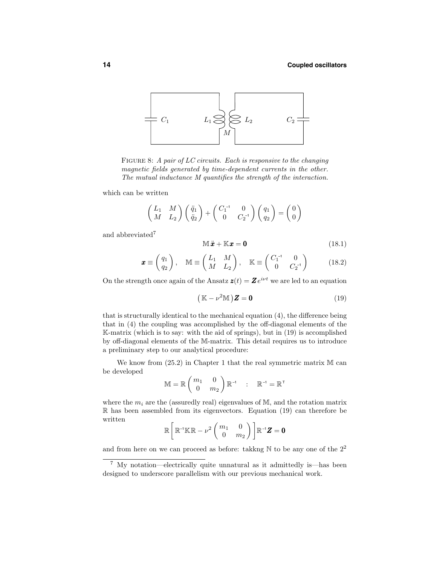

FIGURE 8: A pair of LC circuits. Each is responsive to the changing magnetic fields generated by time-dependent currents in the other. The mutual inductance M quantifies the strength of the interaction.

which can be written

$$
\begin{pmatrix} L_1 & M \ M & L_2 \end{pmatrix} \begin{pmatrix} \ddot{q}_1 \\ \ddot{q}_2 \end{pmatrix} + \begin{pmatrix} C_1^{-1} & 0 \\ 0 & C_2^{-1} \end{pmatrix} \begin{pmatrix} q_1 \\ q_2 \end{pmatrix} = \begin{pmatrix} 0 \\ 0 \end{pmatrix}
$$

and abbreviated<sup>7</sup>

$$
\mathbb{M}\ddot{x} + \mathbb{K}x = \mathbf{0} \tag{18.1}
$$

$$
\boldsymbol{x} \equiv \begin{pmatrix} q_1 \\ q_2 \end{pmatrix}, \quad \mathbb{M} \equiv \begin{pmatrix} L_1 & M \\ M & L_2 \end{pmatrix}, \quad \mathbb{K} \equiv \begin{pmatrix} C_1^{-1} & 0 \\ 0 & C_2^{-1} \end{pmatrix} \tag{18.2}
$$

On the strength once again of the Ansatz  $z(t) = Ze^{i\nu t}$  we are led to an equation

$$
(\mathbb{K} - \nu^2 \mathbb{M}) \mathbf{Z} = \mathbf{0}
$$
 (19)

that is structurally identical to the mechanical equation (4), the difference being that in (4) the coupling was accomplished by the off-diagonal elements of the K-matrix (which is to say: with the aid of springs), but in (19) is accomplished by off-diagonal elements of the M-matrix. This detail requires us to introduce a preliminary step to our analytical procedure:

We know from  $(25.2)$  in Chapter 1 that the real symmetric matrix M can be developed

$$
\mathbb{M} = \mathbb{R} \begin{pmatrix} m_1 & 0 \\ 0 & m_2 \end{pmatrix} \mathbb{R}^{-1} \quad : \quad \mathbb{R}^{-1} = \mathbb{R}^{\top}
$$

where the  $m_i$  are the (assuredly real) eigenvalues of M, and the rotation matrix R has been assembled from its eigenvectors. Equation (19) can therefore be written

$$
\mathbb{R}\left[\mathbb{R}^{\text{-}1}\mathbb{K}\mathbb{R}-\nu^2\begin{pmatrix}m_1&0\\0&m_2\end{pmatrix}\right]\mathbb{R}^{\text{-}1}\boldsymbol{Z}=\boldsymbol{0}
$$

and from here on we can proceed as before: takkng  $\mathbb N$  to be any one of the  $2^2$ 

<sup>7</sup> My notation—electrically quite unnatural as it admittedly is—has been designed to underscore parallelism with our previous mechanical work.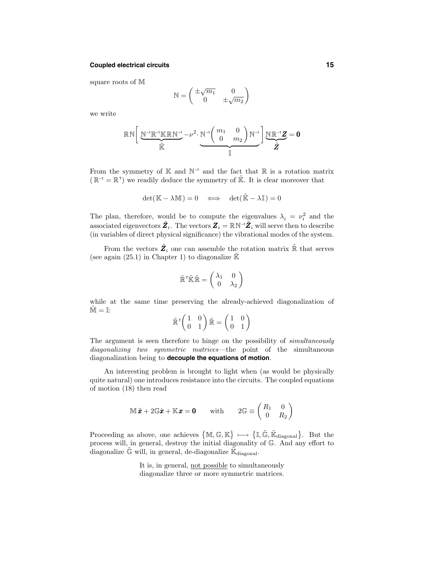#### **Coupled electrical circuits 15**

square roots of M

$$
\mathbb{N}=\begin{pmatrix} \pm\sqrt{m_1} & 0 \\ 0 & \pm\sqrt{m_2} \end{pmatrix}
$$

we write

$$
\mathbb{R}\,\mathbb{N}\bigg[\underbrace{\mathbb{N}^{-1}\mathbb{R}^{-1}\mathbb{K}\,\mathbb{R}\,\mathbb{N}^{-1}}_{\widetilde{\mathbb{K}}}-\nu^2\cdot\underbrace{\mathbb{N}^{-1}\bigg(\begin{array}{cc} m_1 & 0 \\ 0 & m_2 \end{array}\bigg)}_{\mathbb{I}}\,\mathbb{N}^{-1}\bigg]\underbrace{\mathbb{N}\,\mathbb{R}^{-1}\boldsymbol{Z}}_{\boldsymbol{\tilde{Z}}}=0
$$

From the symmetry of  $\mathbb{K}$  and  $\mathbb{N}^{-1}$  and the fact that  $\mathbb{R}$  is a rotation matrix  $(\mathbb{R}^{-1} = \mathbb{R}^{T})$  we readily deduce the symmetry of  $\tilde{\mathbb{K}}$ . It is clear moreover that

$$
\det(\mathbb{K} - \lambda \mathbb{M}) = 0 \quad \Longleftrightarrow \quad \det(\tilde{\mathbb{K}} - \lambda \mathbb{I}) = 0
$$

The plan, therefore, would be to compute the eigenvalues  $\lambda_i = \nu_i^2$  and the associated eigenvectors  $\tilde{Z}_i$ . The vectors  $Z_i = \mathbb{R} \mathbb{N}^{-i} \tilde{Z}_i$  will serve then to describe (in variables of direct physical significance) the vibrational modes of the system.

From the vectors  $\tilde{\mathbf{Z}}_i$  one can assemble the rotation matrix  $\tilde{\mathbb{R}}$  that serves (see again (25.1) in Chapter 1) to diagonalize  $\tilde{\mathbb{K}}$ 

$$
\tilde{\mathbb{R}}^\intercal \tilde{\mathbb{K}} \tilde{\mathbb{R}} = \left( \begin{array}{cc} \lambda_1 & 0 \\ 0 & \lambda_2 \end{array} \right)
$$

while at the same time preserving the already-achieved diagonalization of  $\tilde{M} = I$ :

$$
\tilde{\mathbb{R}}^\intercal \!\begin{pmatrix} 1 & 0 \\ 0 & 1 \end{pmatrix} \tilde{\mathbb{R}} = \begin{pmatrix} 1 & 0 \\ 0 & 1 \end{pmatrix}
$$

The argument is seen therefore to hinge on the possibility of simultaneously diagonalizing two symmetric matrices—the point of the simultaneous diagonalization being to **decouple the equations of motion**.

An interesting problem is brought to light when (as would be physically quite natural) one introduces resistance into the circuits. The coupled equations of motion (18) then read

$$
\mathbb{M}\ddot{\boldsymbol{x}} + 2\mathbb{G}\dot{\boldsymbol{x}} + \mathbb{K}\boldsymbol{x} = \mathbf{0} \qquad \text{with} \qquad 2\mathbb{G} \equiv \begin{pmatrix} R_1 & 0 \\ 0 & R_2 \end{pmatrix}
$$

Proceeding as above, one achieves  $\{M, \mathbb{G}, \mathbb{K}\} \longmapsto \{\mathbb{I}, \tilde{\mathbb{G}}, \tilde{\mathbb{K}}_{\text{diagonal}}\}$ . But the process will, in general, destroy the initial diagonality of G. And any effort to diagonalize  $\tilde{\mathbb{G}}$  will, in general, de-diagonalize  $\tilde{\mathbb{K}}_{\text{diagonal}}$ .

> It is, in general, not possible to simultaneously diagonalize three or more symmetric matrices.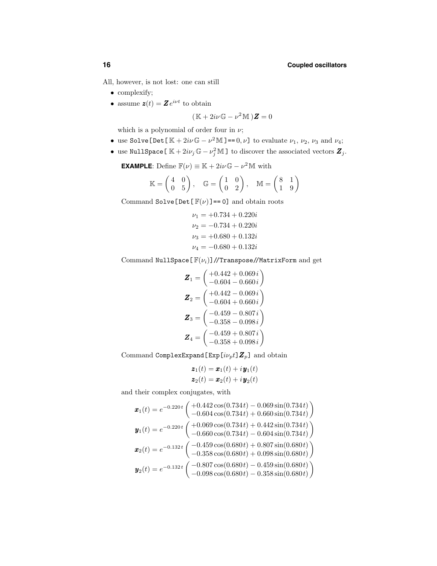All, however, is not lost: one can still

- complexify;
- assume  $\mathbf{z}(t) = \mathbf{Z} e^{i \nu t}$  to obtain

$$
(\mathbb{K} + 2i\nu \mathbb{G} - \nu^2 \mathbb{M})\mathbf{Z} = 0
$$

which is a polynomial of order four in  $\nu$ ;

- use Solve[Det[ $\mathbb{K} + 2i\nu\mathbb{G} \nu^2\mathbb{M}$ ] == 0,  $\nu$ ] to evaluate  $\nu_1, \nu_2, \nu_3$  and  $\nu_4$ ;
- use NullSpace [ $\mathbb{K} + 2i\nu_j \mathbb{G} \nu_j^2 \mathbb{M}$ ] to discover the associated vectors  $\mathbb{Z}_j$ .

**EXAMPLE**: Define  $\mathbb{F}(\nu) \equiv \mathbb{K} + 2i\nu \mathbb{G} - \nu^2 \mathbb{M}$  with

$$
\mathbb{K}=\begin{pmatrix} 4 & 0 \\ 0 & 5 \end{pmatrix}, \quad \mathbb{G}=\begin{pmatrix} 1 & 0 \\ 0 & 2 \end{pmatrix}, \quad \mathbb{M}=\begin{pmatrix} 8 & 1 \\ 1 & 9 \end{pmatrix}
$$

Command Solve [Det  $[\mathbb{F}(\nu)]=0]$  and obtain roots

$$
\nu_1 = +0.734 + 0.220i
$$
  

$$
\nu_2 = -0.734 + 0.220i
$$
  

$$
\nu_3 = +0.680 + 0.132i
$$
  

$$
\nu_4 = -0.680 + 0.132i
$$

Command NullSpace  $[\mathbb{F}(\nu_i)]$  //Transpose//MatrixForm and get

$$
\mathbf{Z}_1 = \begin{pmatrix} +0.442 + 0.069 \, i \\ -0.604 - 0.660 \, i \end{pmatrix}
$$
\n
$$
\mathbf{Z}_2 = \begin{pmatrix} +0.442 - 0.069 \, i \\ -0.604 + 0.660 \, i \end{pmatrix}
$$
\n
$$
\mathbf{Z}_3 = \begin{pmatrix} -0.459 - 0.807 \, i \\ -0.358 - 0.098 \, i \end{pmatrix}
$$
\n
$$
\mathbf{Z}_4 = \begin{pmatrix} -0.459 + 0.807 \, i \\ -0.358 + 0.098 \, i \end{pmatrix}
$$

Command ComplexExpand [Exp $[i\nu_p t]\mathbf{Z}_p$ ] and obtain

$$
\mathbf{z}_1(t) = \mathbf{x}_1(t) + i\mathbf{y}_1(t)
$$
  

$$
\mathbf{z}_2(t) = \mathbf{x}_2(t) + i\mathbf{y}_2(t)
$$

and their complex conjugates, with

$$
\pmb{x}_1(t) = e^{-0.220t} \begin{pmatrix} +0.442 \cos(0.734t) - 0.069 \sin(0.734t) \\ -0.604 \cos(0.734t) + 0.660 \sin(0.734t) \end{pmatrix}
$$
  
\n
$$
\pmb{y}_1(t) = e^{-0.220t} \begin{pmatrix} +0.069 \cos(0.734t) + 0.442 \sin(0.734t) \\ -0.660 \cos(0.734t) - 0.604 \sin(0.734t) \end{pmatrix}
$$
  
\n
$$
\pmb{x}_2(t) = e^{-0.132t} \begin{pmatrix} -0.459 \cos(0.680t) + 0.807 \sin(0.680t) \\ -0.358 \cos(0.680t) + 0.098 \sin(0.680t) \end{pmatrix}
$$
  
\n
$$
\pmb{y}_2(t) = e^{-0.132t} \begin{pmatrix} -0.807 \cos(0.680t) - 0.459 \sin(0.680t) \\ -0.098 \cos(0.680t) - 0.358 \sin(0.680t) \end{pmatrix}
$$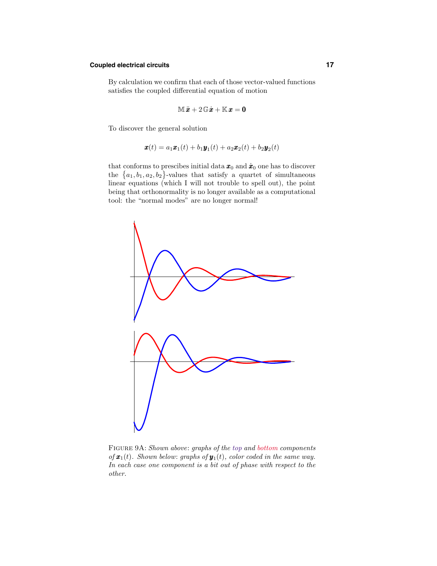#### **Coupled electrical circuits 17**

By calculation we confirm that each of those vector-valued functions satisfies the coupled differential equation of motion

$$
\mathbb{M}\ddot{x} + 2\,\mathbb{G}\dot{x} + \mathbb{K}\,x = 0
$$

To discover the general solution

$$
\boldsymbol{x}(t) = a_1 \boldsymbol{x}_1(t) + b_1 \boldsymbol{y}_1(t) + a_2 \boldsymbol{x}_2(t) + b_2 \boldsymbol{y}_2(t)
$$

that conforms to prescibes initial data  $x_0$  and  $\dot{x}_0$  one has to discover the  ${a_1, b_1, a_2, b_2}$ -values that satisfy a quartet of simultaneous linear equations (which I will not trouble to spell out), the point being that orthonormality is no longer available as a computational tool: the "normal modes" are no longer normal!



Figure 9A: Shown above: graphs of the top and bottom components of  $\mathbf{x}_1(t)$ . Shown below: graphs of  $\mathbf{y}_1(t)$ , color coded in the same way. In each case one component is a bit out of phase with respect to the other.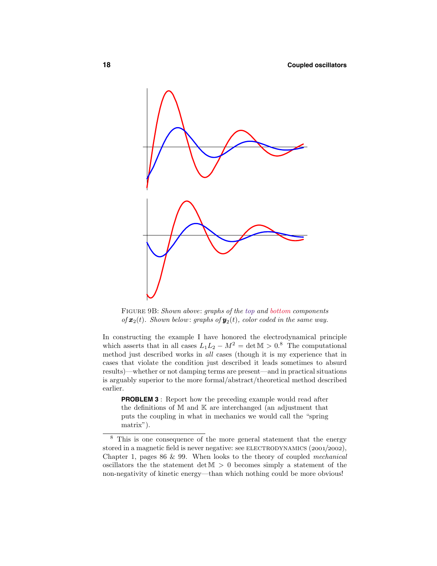

Figure 9B: Shown above: graphs of the top and bottom components of  $\mathbf{x}_2(t)$ . Shown below: graphs of  $\mathbf{y}_2(t)$ , color coded in the same way.

In constructing the example I have honored the electrodynamical principle which asserts that in all cases  $L_1L_2 - M^2 = \det M > 0.8$  The computational method just described works in all cases (though it is my experience that in cases that violate the condition just described it leads sometimes to absurd results)—whether or not damping terms are present—and in practical situations is arguably superior to the more formal/abstract/theoretical method described earlier.

**PROBLEM 3** : Report how the preceding example would read after the definitions of M and K are interchanged (an adjustment that puts the coupling in what in mechanics we would call the "spring matrix").

<sup>8</sup> This is one consequence of the more general statement that the energy stored in a magnetic field is never negative: see ELECTRODYNAMICS  $(2001/2002)$ , Chapter 1, pages 86 & 99. When looks to the theory of coupled mechanical oscillators the the statement det  $M > 0$  becomes simply a statement of the non-negativity of kinetic energy—than which nothing could be more obvious!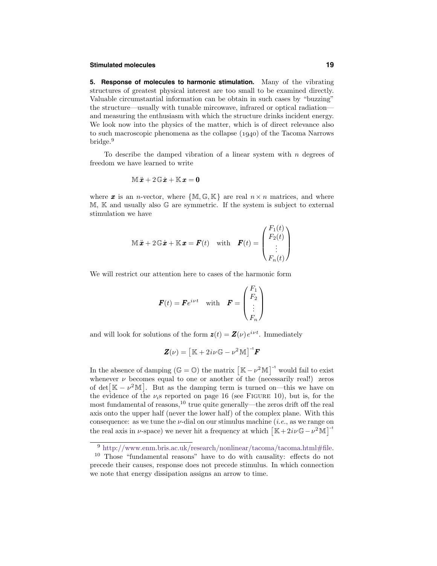#### **Stimulated molecules 19**

**5. Response of molecules to harmonic stimulation.** Many of the vibrating structures of greatest physical interest are too small to be examined directly. Valuable circumstantial information can be obtain in such cases by "buzzing" the structure—usually with tunable mircowave, infrared or optical radiation and measuring the enthusiasm with which the structure drinks incident energy. We look now into the physics of the matter, which is of direct relevance also to such macroscopic phenomena as the collapse  $(1940)$  of the Tacoma Narrows bridge.<sup>9</sup>

To describe the damped vibration of a linear system with  $n$  degrees of freedom we have learned to write

$$
\mathbb{M}\ddot{x} + 2\,\mathbb{G}\dot{x} + \mathbb{K}\,x = 0
$$

where **x** is an *n*-vector, where  ${M, G, K}$  are real  $n \times n$  matrices, and where  $M$ ,  $\mathbb K$  and usually also  $\mathbb G$  are symmetric. If the system is subject to external stimulation we have

$$
\mathbb{M}\ddot{\mathbf{x}} + 2\mathbb{G}\dot{\mathbf{x}} + \mathbb{K}\mathbf{x} = \mathbf{F}(t) \quad \text{with} \quad \mathbf{F}(t) = \begin{pmatrix} F_1(t) \\ F_2(t) \\ \vdots \\ F_n(t) \end{pmatrix}
$$

We will restrict our attention here to cases of the harmonic form

$$
\boldsymbol{F}(t) = \boldsymbol{F}e^{i\nu t} \quad \text{with} \quad \boldsymbol{F} = \begin{pmatrix} F_1 \\ F_2 \\ \vdots \\ F_n \end{pmatrix}
$$

and will look for solutions of the form  $\mathbf{z}(t) = \mathbf{Z}(\nu) e^{i \nu t}$ . Immediately

$$
\mathbf{Z}(\nu) = [\mathbb{K} + 2i\nu \mathbb{G} - \nu^2 \mathbb{M}]^{-1} \mathbf{F}
$$

In the absence of damping ( $\mathbb{G} = \mathbb{O}$ ) the matrix  $\left[\mathbb{K} - \nu^2 \mathbb{M}\right]^{-1}$  would fail to exist whenever  $\nu$  becomes equal to one or another of the (necessarily real!) zeros of det[ $\mathbb{K} - \nu^2 \mathbb{M}$ ]. But as the damping term is turned on—this we have on the evidence of the  $\nu_i$ s reported on page 16 (see FIGURE 10), but is, for the most fundamental of reasons,<sup>10</sup> true quite generally—the zeros drift off the real axis onto the upper half (never the lower half) of the complex plane. With this consequence: as we tune the  $\nu$ -dial on our stimulus machine (*i.e.*, as we range on the real axis in  $\nu$ -space) we never hit a frequency at which  $\left[\mathbb{K}+2i\nu\mathbb{G}-\nu^2\mathbb{M}\right]^{-1}$ 

<sup>&</sup>lt;sup>9</sup> http://www.enm.bris.ac.uk/research/nonlinear/tacoma/tacoma.html#file.

<sup>10</sup> Those "fundamental reasons" have to do with causality: effects do not precede their causes, response does not precede stimulus. In which connection we note that energy dissipation assigns an arrow to time.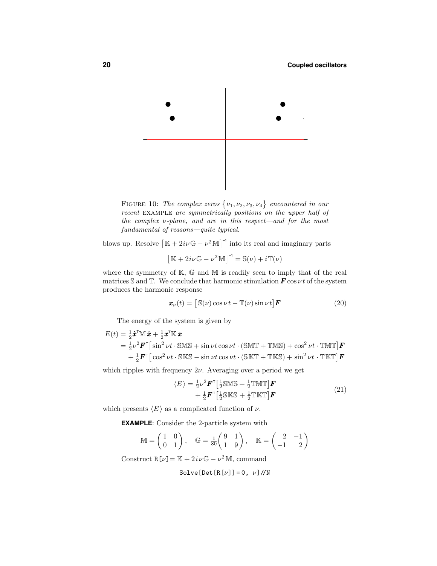

FIGURE 10: The complex zeros  $\{\nu_1, \nu_2, \nu_3, \nu_4\}$  encountered in our recent EXAMPLE are symmetrically positions on the upper half of the complex  $\nu$ -plane, and are in this respect—and for the most fundamental of reasons—quite typical.

blows up. Resolve  $\left[\mathbb{K} + 2i\nu\mathbb{G} - \nu^2\mathbb{M}\right]^{-1}$  into its real and imaginary parts

$$
\left[\mathbb{K} + 2i\nu\mathbb{G} - \nu^2 \mathbb{M}\right]^{-1} = \mathbb{S}(\nu) + i\mathbb{T}(\nu)
$$

where the symmetry of  $K$ ,  $\mathbb{G}$  and  $M$  is readily seen to imply that of the real matrices S and T. We conclude that harmonic stimulation  $\mathbf{F}$  cos  $\nu t$  of the system produces the harmonic response

$$
\boldsymbol{x}_{\nu}(t) = \left[ \mathbb{S}(\nu) \cos \nu t - \mathbb{T}(\nu) \sin \nu t \right] \boldsymbol{F} \tag{20}
$$

The energy of the system is given by

$$
E(t) = \frac{1}{2} \dot{\boldsymbol{x}}^{\mathsf{T}} \mathbb{M} \dot{\boldsymbol{x}} + \frac{1}{2} \boldsymbol{x}^{\mathsf{T}} \mathbb{K} \boldsymbol{x}
$$
  
=  $\frac{1}{2} \nu^2 \boldsymbol{F}^{\mathsf{T}} \left[ \sin^2 \nu t \cdot \mathbb{S} \mathbb{M} \mathbb{S} + \sin \nu t \cos \nu t \cdot (\mathbb{S} \mathbb{M} \mathbb{T} + \mathbb{T} \mathbb{M} \mathbb{S}) + \cos^2 \nu t \cdot \mathbb{T} \mathbb{M} \mathbb{T} \right] \boldsymbol{F}$   
+  $\frac{1}{2} \boldsymbol{F}^{\mathsf{T}} \left[ \cos^2 \nu t \cdot \mathbb{S} \mathbb{K} \mathbb{S} - \sin \nu t \cos \nu t \cdot (\mathbb{S} \mathbb{K} \mathbb{T} + \mathbb{T} \mathbb{K} \mathbb{S}) + \sin^2 \nu t \cdot \mathbb{T} \mathbb{K} \mathbb{T} \right] \boldsymbol{F}$ 

which ripples with frequency  $2\nu$ . Averaging over a period we get

$$
\langle E \rangle = \frac{1}{2} \nu^2 \mathbf{F}^\top \left[ \frac{1}{2} \text{SMS} + \frac{1}{2} \text{TMT} \right] \mathbf{F} + \frac{1}{2} \mathbf{F}^\top \left[ \frac{1}{2} \text{SKS} + \frac{1}{2} \text{TKT} \right] \mathbf{F}
$$
 (21)

which presents  $\langle E \rangle$  as a complicated function of  $\nu$ .

**EXAMPLE**: Consider the 2-particle system with

$$
\mathbb{M} = \begin{pmatrix} 1 & 0 \\ 0 & 1 \end{pmatrix}, \quad \mathbb{G} = \frac{1}{80} \begin{pmatrix} 9 & 1 \\ 1 & 9 \end{pmatrix}, \quad \mathbb{K} = \begin{pmatrix} 2 & -1 \\ -1 & 2 \end{pmatrix}
$$

Construct  $R[\nu] = K + 2i\nu\mathbb{G} - \nu^2 M$ , command

Solve [Det 
$$
[R[\nu]] = 0
$$
,  $\nu]/N$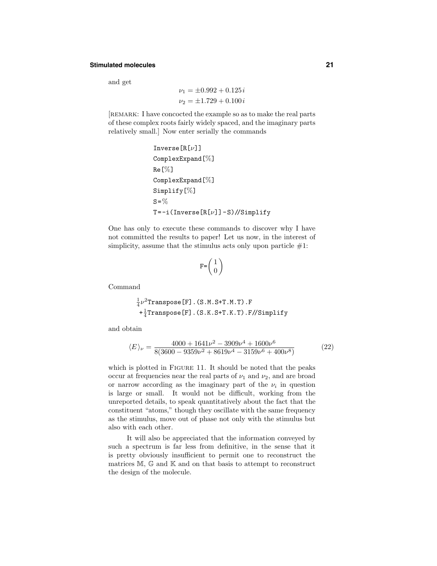#### **Stimulated molecules 21**

and get

$$
\nu_1 = \pm 0.992 + 0.125 i
$$
  

$$
\nu_2 = \pm 1.729 + 0.100 i
$$

[remark: I have concocted the example so as to make the real parts of these complex roots fairly widely spaced, and the imaginary parts relatively small.] Now enter serially the commands

```
Inverse[R[\nu]]ComplexExpand[%]
Re[%]
ComplexExpand[%]
Simplify[%]
S = \%T=-i(Inverse[R[v]]-S)//Simplify
```
One has only to execute these commands to discover why I have not committed the results to paper! Let us now, in the interest of simplicity, assume that the stimulus acts only upon particle  $#1$ :

$$
F = \left(\begin{array}{c} 1 \\ 0 \end{array}\right)
$$

Command

$$
\frac{1}{4}\nu^2
$$
Transpose[F].(S.M.S+T.M.T).F  
+
$$
\frac{1}{4}
$$
Transpose[F].(S.K.S+T.K.T).F//Simplify

and obtain

$$
\langle E \rangle_{\nu} = \frac{4000 + 1641\nu^2 - 3909\nu^4 + 1600\nu^6}{8(3600 - 9359\nu^2 + 8619\nu^4 - 3159\nu^6 + 400\nu^8)}
$$
(22)

which is plotted in FIGURE 11. It should be noted that the peaks occur at frequencies near the real parts of  $\nu_1$  and  $\nu_2$ , and are broad or narrow according as the imaginary part of the  $\nu_i$  in question is large or small. It would not be difficult, working from the unreported details, to speak quantitatively about the fact that the constituent "atoms," though they oscillate with the same frequency as the stimulus, move out of phase not only with the stimulus but also with each other.

It will also be appreciated that the information conveyed by such a spectrum is far less from definitive, in the sense that it is pretty obviously insufficient to permit one to reconstruct the matrices  $M$ ,  $\mathbb G$  and  $\mathbb K$  and on that basis to attempt to reconstruct the design of the molecule.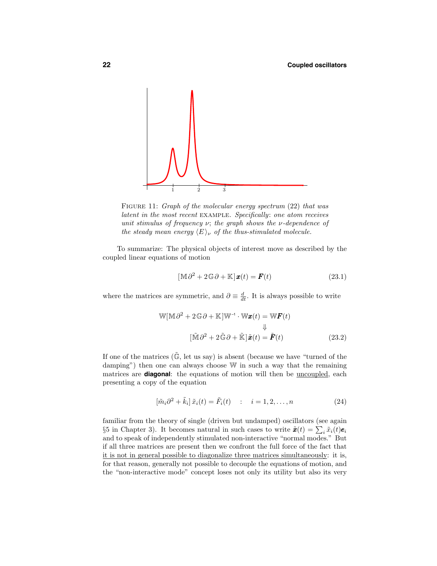

FIGURE 11: Graph of the molecular energy spectrum (22) that was latent in the most recent example. Specifically: one atom receives unit stimulus of frequency  $\nu$ ; the graph shows the  $\nu$ -dependence of the steady mean energy  $\langle E \rangle_{\nu}$  of the thus-stimulated molecule.

To summarize: The physical objects of interest move as described by the coupled linear equations of motion

$$
[\mathbb{M}\partial^2 + 2\mathbb{G}\partial + \mathbb{K}]\mathbf{x}(t) = \mathbf{F}(t)
$$
\n(23.1)

where the matrices are symmetric, and  $\partial \equiv \frac{d}{dt}$ . It is always possible to write

$$
\mathbb{W}[\mathbb{M}\partial^{2} + 2\mathbb{G}\partial + \mathbb{K}]\mathbb{W}^{-1} \cdot \mathbb{W}\mathbf{x}(t) = \mathbb{W}\mathbf{F}(t)
$$
  

$$
\downarrow \qquad \qquad \downarrow
$$
  

$$
[\tilde{\mathbb{M}}\partial^{2} + 2\tilde{\mathbb{G}}\partial + \tilde{\mathbb{K}}]\tilde{\mathbf{x}}(t) = \tilde{\mathbf{F}}(t)
$$
 (23.2)

If one of the matrices  $(\tilde{\mathbb{G}},$  let us say) is absent (because we have "turned of the damping") then one can always choose W in such a way that the remaining matrices are **diagonal**: the equations of motion will then be <u>uncoupled</u>, each presenting a copy of the equation

$$
[\tilde{m}_i \partial^2 + \tilde{k}_i] \tilde{x}_i(t) = \tilde{F}_i(t) \quad : \quad i = 1, 2, \dots, n \tag{24}
$$

familiar from the theory of single (driven but undamped) oscillators (see again §5 in Chapter 3). It becomes natural in such cases to write  $\tilde{\boldsymbol{x}}(t) = \sum_i \tilde{x}_i(t) \boldsymbol{e}_i$ and to speak of independently stimulated non-interactive "normal modes." But if all three matrices are present then we confront the full force of the fact that it is not in general possible to diagonalize three matrices simultaneously: it is, for that reason, generally not possible to decouple the equations of motion, and the "non-interactive mode" concept loses not only its utility but also its very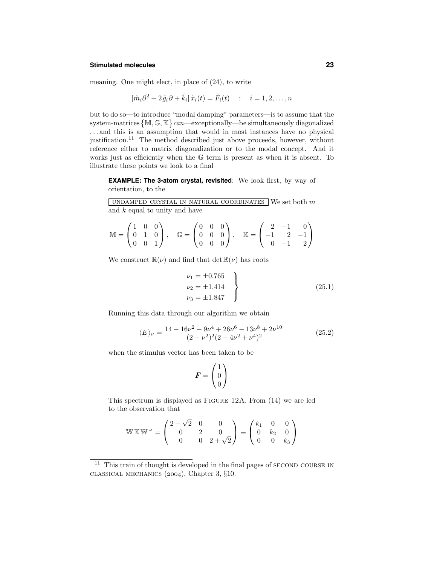#### **Stimulated molecules 23**

meaning. One might elect, in place of (24), to write

$$
[\tilde{m}_i \partial^2 + 2\tilde{g}_i \partial + \tilde{k}_i] \tilde{x}_i(t) = \tilde{F}_i(t) \quad : \quad i = 1, 2, \dots, n
$$

but to do so—to introduce "modal damping" parameters—is to assume that the system-matrices  ${M, G, K} can—exceptionally—be simultaneously diagonalized$ . . . and this is an assumption that would in most instances have no physical justification.<sup>11</sup> The method described just above proceeds, however, without reference either to matrix diagonalization or to the modal concept. And it works just as efficiently when the G term is present as when it is absent. To illustrate these points we look to a final

**EXAMPLE: The 3-atom crystal, revisited**: We look first, by way of orientation, to the

UNDAMPED CRYSTAL IN NATURAL COORDINATES We set both  $m$ and  $k$  equal to unity and have

$$
\mathbb{M} = \begin{pmatrix} 1 & 0 & 0 \\ 0 & 1 & 0 \\ 0 & 0 & 1 \end{pmatrix}, \quad \mathbb{G} = \begin{pmatrix} 0 & 0 & 0 \\ 0 & 0 & 0 \\ 0 & 0 & 0 \end{pmatrix}, \quad \mathbb{K} = \begin{pmatrix} 2 & -1 & 0 \\ -1 & 2 & -1 \\ 0 & -1 & 2 \end{pmatrix}
$$

We construct  $\mathbb{R}(\nu)$  and find that det  $\mathbb{R}(\nu)$  has roots

$$
\nu_1 = \pm 0.765
$$
  
\n
$$
\nu_2 = \pm 1.414
$$
  
\n
$$
\nu_3 = \pm 1.847
$$
\n(25.1)

Running this data through our algorithm we obtain

$$
\langle E \rangle_{\nu} = \frac{14 - 16\nu^2 - 9\nu^4 + 26\nu^6 - 13\nu^8 + 2\nu^{10}}{(2 - \nu^2)^2 (2 - 4\nu^2 + \nu^4)^2}
$$
(25.2)

when the stimulus vector has been taken to be

$$
\boldsymbol{F} = \begin{pmatrix} 1 \\ 0 \\ 0 \end{pmatrix}
$$

This spectrum is displayed as Figure 12A. From (14) we are led to the observation that

$$
\mathbb{W}\,\mathbb{K}\,\mathbb{W}^{-1} = \begin{pmatrix} 2 - \sqrt{2} & 0 & 0 \\ 0 & 2 & 0 \\ 0 & 0 & 2 + \sqrt{2} \end{pmatrix} \equiv \begin{pmatrix} k_1 & 0 & 0 \\ 0 & k_2 & 0 \\ 0 & 0 & k_3 \end{pmatrix}
$$

 $11$  This train of thought is developed in the final pages of SECOND COURSE IN CLASSICAL MECHANICS  $(2004)$ , Chapter 3, §10.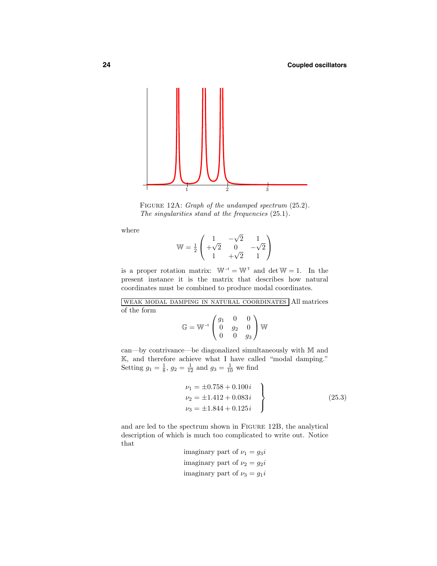

FIGURE 12A: Graph of the undamped spectrum  $(25.2)$ . The singularities stand at the frequencies  $(25.1)$ .

where

$$
\mathbb{W} = \frac{1}{2} \begin{pmatrix} 1 & -\sqrt{2} & 1 \\ +\sqrt{2} & 0 & -\sqrt{2} \\ 1 & +\sqrt{2} & 1 \end{pmatrix}
$$

is a proper rotation matrix:  $W^{-1} = W^{T}$  and  $\det W = 1$ . In the present instance it is the matrix that describes how natural coordinates must be combined to produce modal coordinates.

weak modal damping in natural coordinates All matrices of the form

$$
\mathbb{G} = \mathbb{W}^{-1} \begin{pmatrix} g_1 & 0 & 0 \\ 0 & g_2 & 0 \\ 0 & 0 & g_3 \end{pmatrix} \mathbb{W}
$$

can—by contrivance—be diagonalized simultaneously with M and K, and therefore achieve what I have called "modal damping." Setting  $g_1 = \frac{1}{8}$ ,  $g_2 = \frac{1}{12}$  and  $g_3 = \frac{1}{10}$  we find

$$
\nu_1 = \pm 0.758 + 0.100 i \n\nu_2 = \pm 1.412 + 0.083 i \n\nu_3 = \pm 1.844 + 0.125 i
$$
\n(25.3)

and are led to the spectrum shown in Figure 12B, the analytical description of which is much too complicated to write out. Notice that

```
imaginary part of \nu_1 = g_3iimaginary part of \nu_2 = g_2 iimaginary part of \nu_3 = g_1 i
```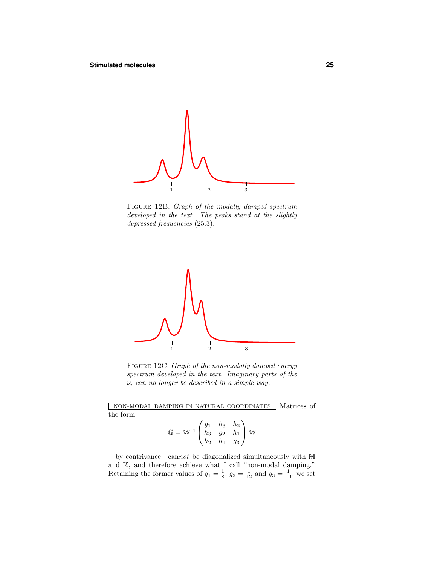

Figure 12B: Graph of the modally damped spectrum developed in the text. The peaks stand at the slightly depressed frequencies (25.3).



FIGURE 12C: Graph of the non-modally damped energy spectrum developed in the text. Imaginary parts of the  $\nu_i$  can no longer be described in a simple way.

non-modal damping in natural coordinates Matrices of the form

$$
\mathbb{G} = \mathbb{W}^{-1} \begin{pmatrix} g_1 & h_3 & h_2 \\ h_3 & g_2 & h_1 \\ h_2 & h_1 & g_3 \end{pmatrix} \mathbb{W}
$$

—by contrivance—cannot be diagonalized simultaneously with  $M$ and  $K$ , and therefore achieve what I call "non-modal damping." Retaining the former values of  $g_1 = \frac{1}{8}$ ,  $g_2 = \frac{1}{12}$  and  $g_3 = \frac{1}{10}$ , we set